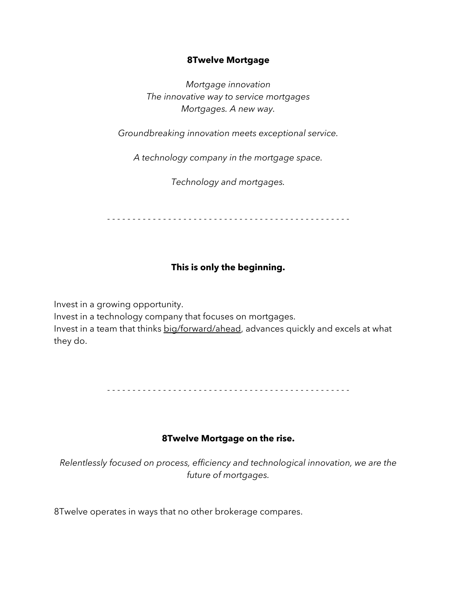#### **8Twelve Mortgage**

*Mortgage innovation The innovative way to service mortgages Mortgages. A new way.*

*Groundbreaking innovation meets exceptional service.*

*A technology company in the mortgage space.*

*Technology and mortgages.*

- - - - - - - - - - - - - - - - - - - - - - - - - - - - - - - - - - - - - - - - - - - - - - - -

# **This is only the beginning.**

Invest in a growing opportunity.

Invest in a technology company that focuses on mortgages.

Invest in a team that thinks big/forward/ahead, advances quickly and excels at what they do.

- - - - - - - - - - - - - - - - - - - - - - - - - - - - - - - - - - - - - - - - - - - - - - - -

#### **8Twelve Mortgage on the rise.**

*Relentlessly focused on process, efficiency and technological innovation, we are the future of mortgages.* 

8Twelve operates in ways that no other brokerage compares.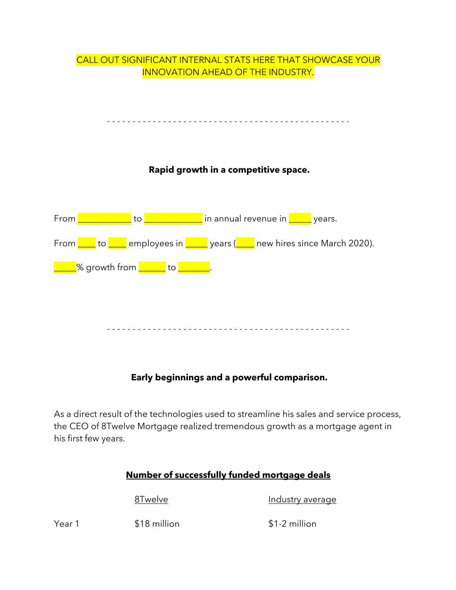# CALL OUT SIGNIFICANT INTERNAL STATS HERE THAT SHOWCASE YOUR INNOVATION AHEAD OF THE INDUSTRY. - - - - - - - - - - - - - - - - - - - - - - - - - - - - - - - - - - - - - - - - - - - - - - - - **Rapid growth in a competitive space.** From **EXECUTE:** to **EXECUTE:** in annual revenue in **EXECUTE:** years. From  $\frac{1}{\sqrt{2}}$  to  $\frac{1}{\sqrt{2}}$  employees in  $\frac{1}{\sqrt{2}}$  years ( $\frac{1}{\sqrt{2}}$  new hires since March 2020). \_\_\_\_% growth from <mark>\_\_\_\_\_\_</mark> to <mark>\_\_\_\_\_\_</mark>. - - - - - - - - - - - - - - - - - - - - - - - - - - - - - - - - - - - - - - - - - - - - - - - -

# **Early beginnings and a powerful comparison.**

As a direct result of the technologies used to streamline his sales and service process, the CEO of 8Twelve Mortgage realized tremendous growth as a mortgage agent in his first few years.

# **Number of successfully funded mortgage deals**

8Twelve Industry average

Year 1  $$18$  million  $$1-2$  million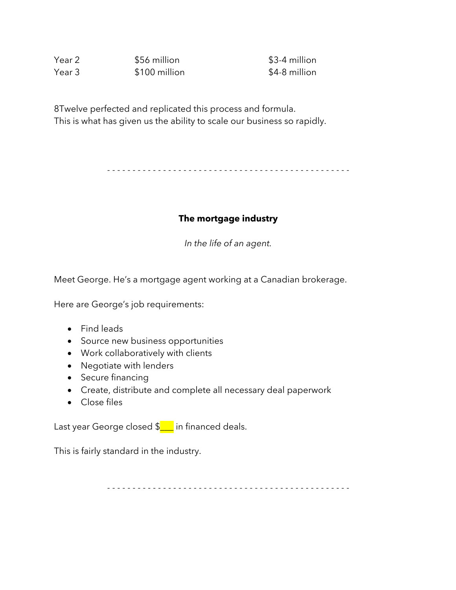| Year 2 | \$56 million  |  |
|--------|---------------|--|
| Year 3 | \$100 million |  |

\$3-4 million \$4-8 million

8Twelve perfected and replicated this process and formula. This is what has given us the ability to scale our business so rapidly.

- - - - - - - - - - - - - - - - - - - - - - - - - - - - - - - - - - - - - - - - - - - - - - - -

#### **The mortgage industry**

*In the life of an agent.*

Meet George. He's a mortgage agent working at a Canadian brokerage.

Here are George's job requirements:

- Find leads
- Source new business opportunities
- Work collaboratively with clients
- Negotiate with lenders
- Secure financing
- Create, distribute and complete all necessary deal paperwork
- Close files

Last year George closed  $\S$  in financed deals.

This is fairly standard in the industry.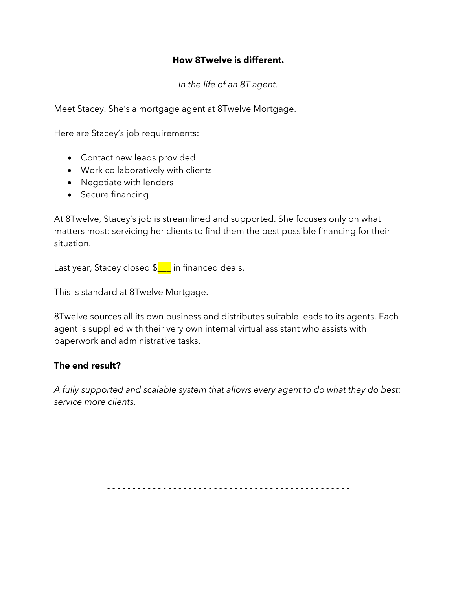#### **How 8Twelve is different.**

*In the life of an 8T agent.*

Meet Stacey. She's a mortgage agent at 8Twelve Mortgage.

Here are Stacey's job requirements:

- Contact new leads provided
- Work collaboratively with clients
- Negotiate with lenders
- Secure financing

At 8Twelve, Stacey's job is streamlined and supported. She focuses only on what matters most: servicing her clients to find them the best possible financing for their situation.

Last year, Stacey closed  $\frac{1}{2}$  in financed deals.

This is standard at 8Twelve Mortgage.

8Twelve sources all its own business and distributes suitable leads to its agents. Each agent is supplied with their very own internal virtual assistant who assists with paperwork and administrative tasks.

# **The end result?**

*A fully supported and scalable system that allows every agent to do what they do best: service more clients.*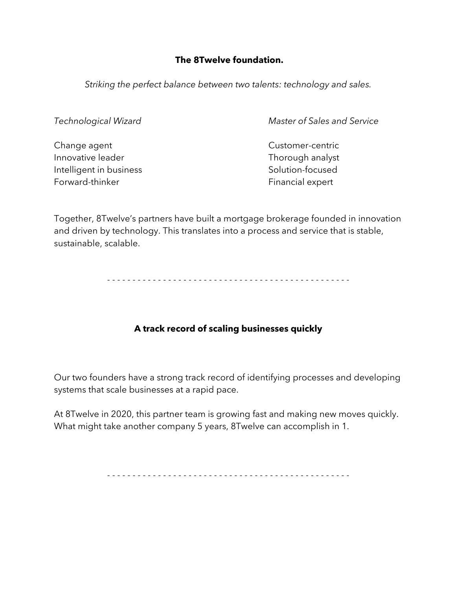## **The 8Twelve foundation.**

*Striking the perfect balance between two talents: technology and sales.*

Change agent Change agent Innovative leader Thorough analyst Intelligent in business Solution-focused Forward-thinker Forward-thinker Financial expert

*Technological Wizard Master of Sales and Service*

Together, 8Twelve's partners have built a mortgage brokerage founded in innovation and driven by technology. This translates into a process and service that is stable, sustainable, scalable.

- - - - - - - - - - - - - - - - - - - - - - - - - - - - - - - - - - - - - - - - - - - - - - - -

# **A track record of scaling businesses quickly**

Our two founders have a strong track record of identifying processes and developing systems that scale businesses at a rapid pace.

At 8Twelve in 2020, this partner team is growing fast and making new moves quickly. What might take another company 5 years, 8Twelve can accomplish in 1.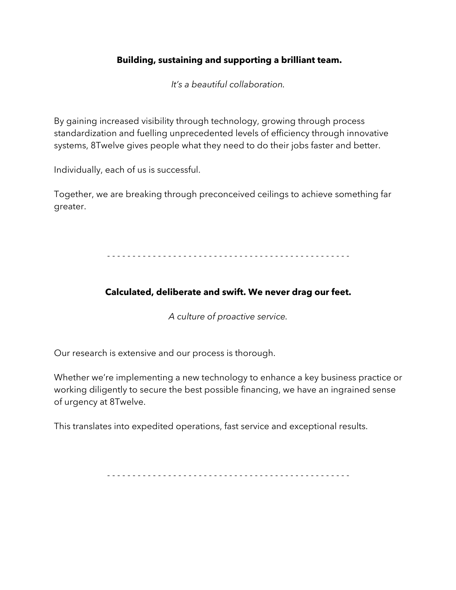## **Building, sustaining and supporting a brilliant team.**

*It's a beautiful collaboration.*

By gaining increased visibility through technology, growing through process standardization and fuelling unprecedented levels of efficiency through innovative systems, 8Twelve gives people what they need to do their jobs faster and better.

Individually, each of us is successful.

Together, we are breaking through preconceived ceilings to achieve something far greater.

- - - - - - - - - - - - - - - - - - - - - - - - - - - - - - - - - - - - - - - - - - - - - - - -

# **Calculated, deliberate and swift. We never drag our feet.**

*A culture of proactive service.*

Our research is extensive and our process is thorough.

Whether we're implementing a new technology to enhance a key business practice or working diligently to secure the best possible financing, we have an ingrained sense of urgency at 8Twelve.

This translates into expedited operations, fast service and exceptional results.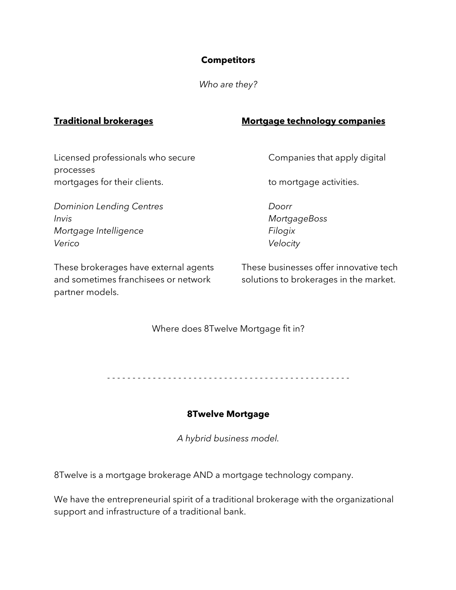## **Competitors**

*Who are they?*

# **Traditional brokerages Mortgage technology companies**

Licensed professionals who secure Companies that apply digital processes mortgages for their clients. The mortgage activities.

*Dominion Lending Centres Doorr Invis MortgageBoss Mortgage Intelligence Filogix Verico Velocity*

and sometimes franchisees or network solutions to brokerages in the market. partner models.

These brokerages have external agents These businesses offer innovative tech

Where does 8Twelve Mortgage fit in?

- - - - - - - - - - - - - - - - - - - - - - - - - - - - - - - - - - - - - - - - - - - - - - - -

#### **8Twelve Mortgage**

*A hybrid business model.*

8Twelve is a mortgage brokerage AND a mortgage technology company.

We have the entrepreneurial spirit of a traditional brokerage with the organizational support and infrastructure of a traditional bank.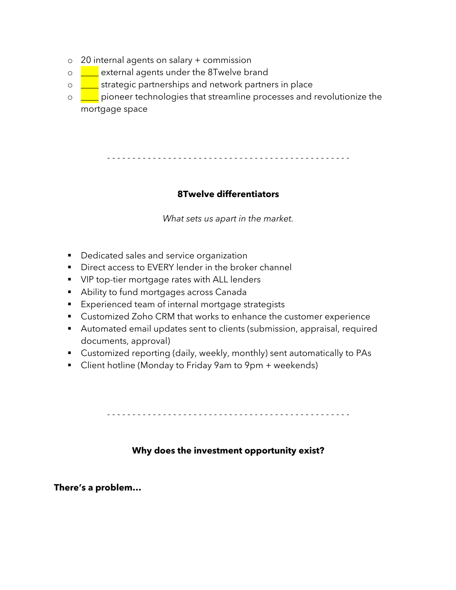- o 20 internal agents on salary + commission
- o **LE** external agents under the 8Twelve brand
- o **I** strategic partnerships and network partners in place
- $\circ$   $\Box$  pioneer technologies that streamline processes and revolutionize the mortgage space

- - - - - - - - - - - - - - - - - - - - - - - - - - - - - - - - - - - - - - - - - - - - - - - -

#### **8Twelve differentiators**

*What sets us apart in the market.*

- **•** Dedicated sales and service organization
- Direct access to EVERY lender in the broker channel
- VIP top-tier mortgage rates with ALL lenders
- Ability to fund mortgages across Canada
- Experienced team of internal mortgage strategists
- Customized Zoho CRM that works to enhance the customer experience
- Automated email updates sent to clients (submission, appraisal, required documents, approval)
- Customized reporting (daily, weekly, monthly) sent automatically to PAs
- Client hotline (Monday to Friday 9am to 9pm + weekends)

- - - - - - - - - - - - - - - - - - - - - - - - - - - - - - - - - - - - - - - - - - - - - - - -

#### **Why does the investment opportunity exist?**

**There's a problem…**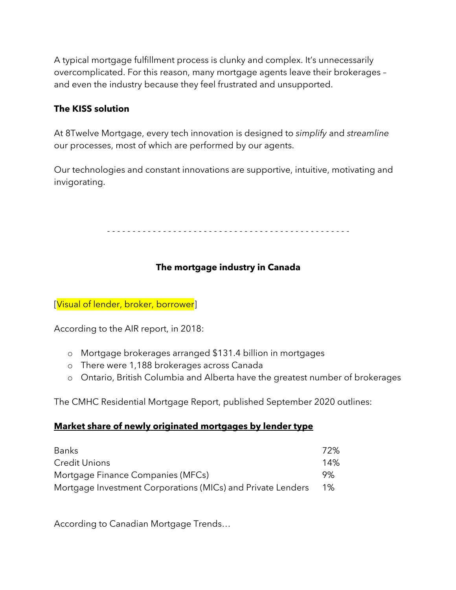A typical mortgage fulfillment process is clunky and complex. It's unnecessarily overcomplicated. For this reason, many mortgage agents leave their brokerages – and even the industry because they feel frustrated and unsupported.

# **The KISS solution**

At 8Twelve Mortgage, every tech innovation is designed to *simplify* and *streamline* our processes, most of which are performed by our agents.

Our technologies and constant innovations are supportive, intuitive, motivating and invigorating.

- - - - - - - - - - - - - - - - - - - - - - - - - - - - - - - - - - - - - - - - - - - - - - - -

# **The mortgage industry in Canada**

[Visual of lender, broker, borrower]

According to the AIR report, in 2018:

- o Mortgage brokerages arranged \$131.4 billion in mortgages
- o There were 1,188 brokerages across Canada
- o Ontario, British Columbia and Alberta have the greatest number of brokerages

The CMHC Residential Mortgage Report, published September 2020 outlines:

#### **Market share of newly originated mortgages by lender type**

| <b>Banks</b>                                                | 72%    |
|-------------------------------------------------------------|--------|
| Credit Unions                                               | $14\%$ |
| Mortgage Finance Companies (MFCs)                           | 9%     |
| Mortgage Investment Corporations (MICs) and Private Lenders | 1%     |

According to Canadian Mortgage Trends…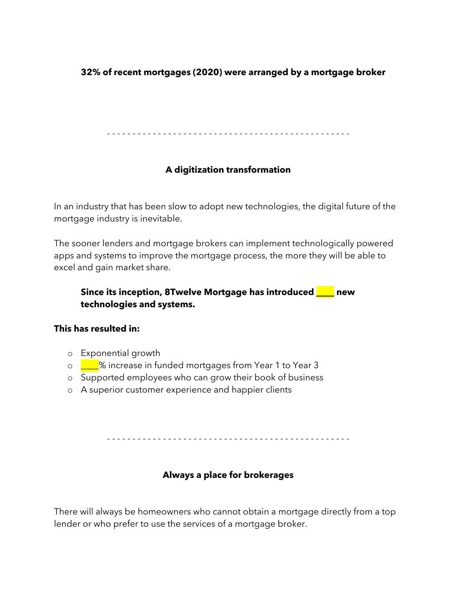# **32% of recent mortgages (2020) were arranged by a mortgage broker**

- - - - - - - - - - - - - - - - - - - - - - - - - - - - - - - - - - - - - - - - - - - - - - - -

# **A digitization transformation**

In an industry that has been slow to adopt new technologies, the digital future of the mortgage industry is inevitable.

The sooner lenders and mortgage brokers can implement technologically powered apps and systems to improve the mortgage process, the more they will be able to excel and gain market share.

## **Since its inception, 8Twelve Mortgage has introduced \_\_\_\_ new technologies and systems.**

#### **This has resulted in:**

- o Exponential growth
- o **LE**% increase in funded mortgages from Year 1 to Year 3
- o Supported employees who can grow their book of business
- o A superior customer experience and happier clients

- - - - - - - - - - - - - - - - - - - - - - - - - - - - - - - - - - - - - - - - - - - - - - - -

#### **Always a place for brokerages**

There will always be homeowners who cannot obtain a mortgage directly from a top lender or who prefer to use the services of a mortgage broker.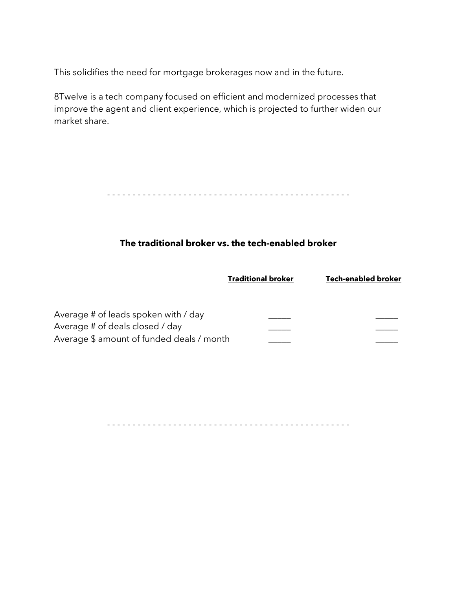This solidifies the need for mortgage brokerages now and in the future.

8Twelve is a tech company focused on efficient and modernized processes that improve the agent and client experience, which is projected to further widen our market share.

- - - - - - - - - - - - - - - - - - - - - - - - - - - - - - - - - - - - - - - - - - - - - - - -

#### **The traditional broker vs. the tech-enabled broker**

| <b>Traditional broker</b> | Tech-enabled broker |
|---------------------------|---------------------|
|                           |                     |

| Average # of leads spoken with / day      |  |
|-------------------------------------------|--|
| Average # of deals closed / day           |  |
| Average \$ amount of funded deals / month |  |